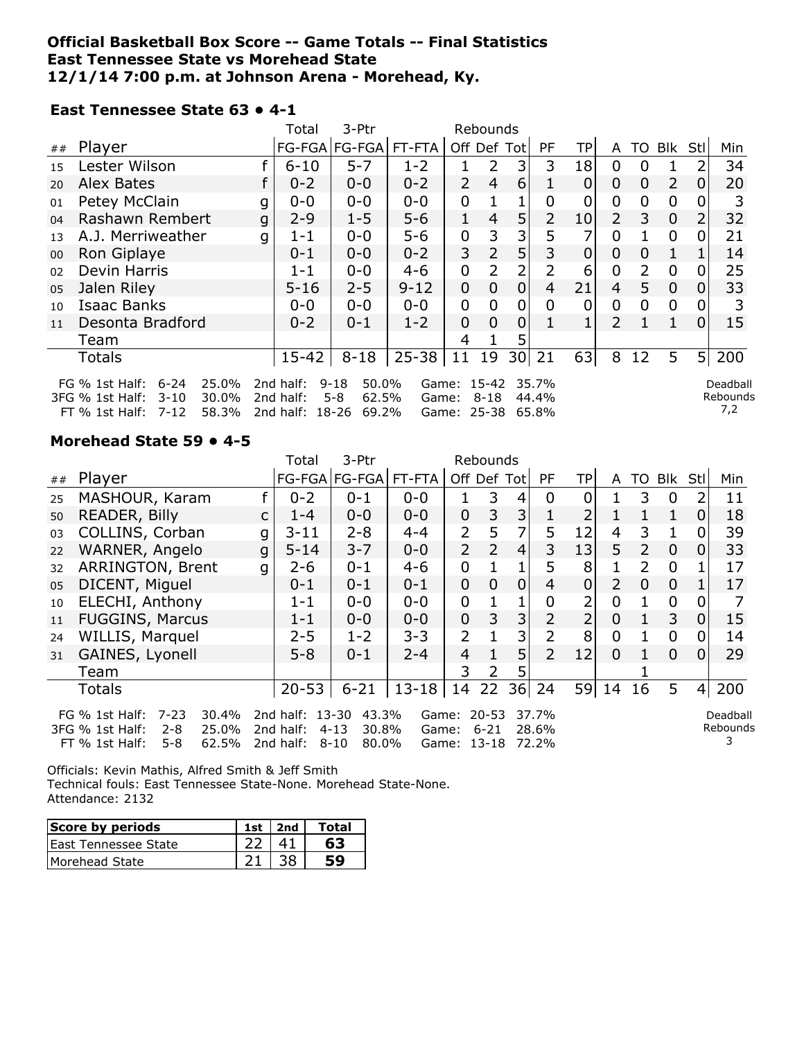#### **Official Basketball Box Score -- Game Totals -- Final Statistics East Tennessee State vs Morehead State 12/1/14 7:00 p.m. at Johnson Arena - Morehead, Ky.**

#### **East Tennessee State 63 • 4-1**

|                                                                                                                                                                                                                                                                                                                        |                    |   | Total     | 3-Ptr                 |           |                | Rebounds       |                 |           |     |                |                |                |                |     |
|------------------------------------------------------------------------------------------------------------------------------------------------------------------------------------------------------------------------------------------------------------------------------------------------------------------------|--------------------|---|-----------|-----------------------|-----------|----------------|----------------|-----------------|-----------|-----|----------------|----------------|----------------|----------------|-----|
| ##                                                                                                                                                                                                                                                                                                                     | Player             |   |           | FG-FGA FG-FGA  FT-FTA |           | Off Def Tot    |                |                 | <b>PF</b> | TP. | A              | TO             | Blk            | Stl            | Min |
| 15                                                                                                                                                                                                                                                                                                                     | Lester Wilson      |   | $6 - 10$  | $5 - 7$               | $1 - 2$   |                | 2              | 3 <sub>1</sub>  | 3         | 18  | 0              | 0              |                |                | 34  |
| 20                                                                                                                                                                                                                                                                                                                     | Alex Bates         |   | $0 - 2$   | $0 - 0$               | $0 - 2$   | $\overline{2}$ | $\overline{4}$ | 6               |           | 0   | 0              | $\overline{0}$ | $\overline{2}$ | 0              | 20  |
| 01                                                                                                                                                                                                                                                                                                                     | Petey McClain      | g | $0 - 0$   | $0 - 0$               | $0 - 0$   | 0              |                |                 | 0         | 0   | 0              | 0              | $\mathbf 0$    |                | 3   |
| 04                                                                                                                                                                                                                                                                                                                     | Rashawn Rembert    | g | $2 - 9$   | $1 - 5$               | $5 - 6$   | 1              | 4              | 5               | 2         | 10  | $\overline{2}$ | 3              | $\mathbf 0$    |                | 32  |
| 13                                                                                                                                                                                                                                                                                                                     | A.J. Merriweather  | g | $1 - 1$   | $0 - 0$               | $5 - 6$   | 0              | 3              | $\overline{3}$  | 5         | 7   | 0              |                | $\mathbf 0$    |                | 21  |
| 00                                                                                                                                                                                                                                                                                                                     | Ron Giplaye        |   | $0 - 1$   | $0 - 0$               | $0 - 2$   | 3              | $\overline{2}$ | 5               | 3         | 0   | 0              | 0              | $\mathbf{1}$   |                | 14  |
| 02                                                                                                                                                                                                                                                                                                                     | Devin Harris       |   | $1 - 1$   | $0 - 0$               | $4 - 6$   | 0              | $\overline{2}$ | 2               | 2         | 6   | 0              | $\overline{2}$ | $\mathbf 0$    | 0              | 25  |
| 05                                                                                                                                                                                                                                                                                                                     | Jalen Riley        |   | $5 - 16$  | $2 - 5$               | $9 - 12$  | 0              | 0              | 0               | 4         | 21  | $\overline{4}$ | 5              | 0              | 0              | 33  |
| 10                                                                                                                                                                                                                                                                                                                     | <b>Isaac Banks</b> |   | $0 - 0$   | $0 - 0$               | $0 - 0$   | 0              | 0              | 0               | 0         | 0   | 0              | 0              | $\mathbf 0$    | 0              | 3   |
| 11                                                                                                                                                                                                                                                                                                                     | Desonta Bradford   |   | $0 - 2$   | $0 - 1$               | $1 - 2$   | $\overline{0}$ | 0              | 0               |           |     | $\overline{2}$ |                | $\mathbf{1}$   | $\Omega$       | 15  |
|                                                                                                                                                                                                                                                                                                                        | Team               |   |           |                       |           | 4              |                | 5               |           |     |                |                |                |                |     |
|                                                                                                                                                                                                                                                                                                                        | <b>Totals</b>      |   | $15 - 42$ | $8 - 18$              | $25 - 38$ | 11             | 19             | 30 <sup>1</sup> | 21        | 63  | 8              | 12             | 5              | 5 <sup>1</sup> | 200 |
| $9 - 18$<br>50.0%<br>$6 - 24$<br>25.0%<br>2nd half:<br>Game: 15-42 35.7%<br>FG $%$ 1st Half:<br>Deadball<br>Rebounds<br>$5 - 8$<br>62.5%<br>3FG % 1st Half:<br>$3 - 10$<br>30.0%<br>44.4%<br>2nd half:<br>$8 - 18$<br>Game:<br>7,2<br>2nd half: 18-26<br>Game: 25-38 65.8%<br>7-12<br>58.3%<br>69.2%<br>FT % 1st Half: |                    |   |           |                       |           |                |                |                 |           |     |                |                |                |                |     |

#### **Morehead State 59 • 4-5**

|    |                                                                                                                                                                                                                                                                                                                                 |   | Total     | 3-Ptr         | Rebounds  |                |                |                |                |                |                |                |                |                |     |
|----|---------------------------------------------------------------------------------------------------------------------------------------------------------------------------------------------------------------------------------------------------------------------------------------------------------------------------------|---|-----------|---------------|-----------|----------------|----------------|----------------|----------------|----------------|----------------|----------------|----------------|----------------|-----|
| ## | Player                                                                                                                                                                                                                                                                                                                          |   |           | FG-FGA FG-FGA | FT-FTA    | Off Def Tot    |                |                | PF             | TPI            | A              | TO.            | Blk            | Stll           | Min |
| 25 | MASHOUR, Karam                                                                                                                                                                                                                                                                                                                  |   | $0 - 2$   | $0 - 1$       | $0 - 0$   |                | 3              | 4              | 0              | 0              |                | 3              | 0              | 2              | 11  |
| 50 | <b>READER, Billy</b>                                                                                                                                                                                                                                                                                                            | C | $1 - 4$   | $0 - 0$       | $0 - 0$   | $\overline{0}$ | 3              | 3              |                | 2              |                | 1              | 1              | $\overline{0}$ | 18  |
| 03 | COLLINS, Corban                                                                                                                                                                                                                                                                                                                 | g | $3 - 11$  | $2 - 8$       | $4 - 4$   | $\overline{2}$ | 5              | 7              | 5              | 12             | $\overline{4}$ | 3              | 1              | 0              | 39  |
| 22 | WARNER, Angelo                                                                                                                                                                                                                                                                                                                  | g | $5 - 14$  | $3 - 7$       | $0 - 0$   | $\overline{2}$ | $\overline{2}$ | $\overline{4}$ | 3              | 13             | 5              | 2              | $\mathbf 0$    | 01             | 33  |
| 32 | <b>ARRINGTON, Brent</b>                                                                                                                                                                                                                                                                                                         | g | $2 - 6$   | $0 - 1$       | $4 - 6$   | 0              |                |                | 5              | 8              |                | $\overline{2}$ | $\mathbf 0$    |                | 17  |
| 05 | DICENT, Miguel                                                                                                                                                                                                                                                                                                                  |   | $0 - 1$   | $0 - 1$       | $0 - 1$   | $\overline{0}$ | 0              | 0              | $\overline{4}$ | $\overline{0}$ | $\overline{2}$ | $\overline{0}$ | $\overline{0}$ |                | 17  |
| 10 | ELECHI, Anthony                                                                                                                                                                                                                                                                                                                 |   | $1 - 1$   | $0 - 0$       | $0 - 0$   | 0              |                |                | 0              | $\overline{2}$ | 0              |                | $\mathbf 0$    | $\Omega$       |     |
| 11 | <b>FUGGINS, Marcus</b>                                                                                                                                                                                                                                                                                                          |   | $1 - 1$   | $0 - 0$       | $0 - 0$   | 0              | 3              | 3              | $\overline{2}$ | $\overline{2}$ | $\mathbf{0}$   |                | 3              | 01             | 15  |
| 24 | WILLIS, Marquel                                                                                                                                                                                                                                                                                                                 |   | $2 - 5$   | $1 - 2$       | $3 - 3$   | $\overline{2}$ |                | 3              | $\overline{2}$ | 8              | $\overline{0}$ |                | $\mathbf 0$    | 0              | 14  |
| 31 | GAINES, Lyonell                                                                                                                                                                                                                                                                                                                 |   | $5 - 8$   | $0 - 1$       | $2 - 4$   | 4              |                | 5              | $\overline{2}$ | 12             | $\mathbf{0}$   |                | $\overline{0}$ | 0              | 29  |
|    | Team                                                                                                                                                                                                                                                                                                                            |   |           |               |           | 3              | 2              | 5              |                |                |                |                |                |                |     |
|    | <b>Totals</b>                                                                                                                                                                                                                                                                                                                   |   | $20 - 53$ | $6 - 21$      | $13 - 18$ | 14             | 22             | 36             | 24             | 59             | 14             | 16             | 5.             | 4              | 200 |
|    | 2nd half: 13-30<br>43.3%<br>FG % 1st Half:<br>$7 - 23$<br>30.4%<br>20-53<br>37.7%<br>Game:<br>Deadball<br>Rebounds<br>25.0%<br>2nd half:<br>$4 - 13$<br>30.8%<br>3FG % 1st Half:<br>$2 - 8$<br>$6 - 21$<br>28.6%<br>Game:<br>$FT \% 1st Half:$<br>2nd half:<br>$8 - 10$<br>13-18<br>$5 - 8$<br>62.5%<br>80.0%<br>72.2%<br>Game: |   |           |               |           |                |                |                |                |                |                |                |                |                |     |

Officials: Kevin Mathis, Alfred Smith & Jeff Smith Technical fouls: East Tennessee State-None. Morehead State-None. Attendance: 2132

| Score by periods             | 1st $ $ 2nd | <b>Total</b> |
|------------------------------|-------------|--------------|
| <b>IEast Tennessee State</b> |             | 63           |
| Morehead State               |             |              |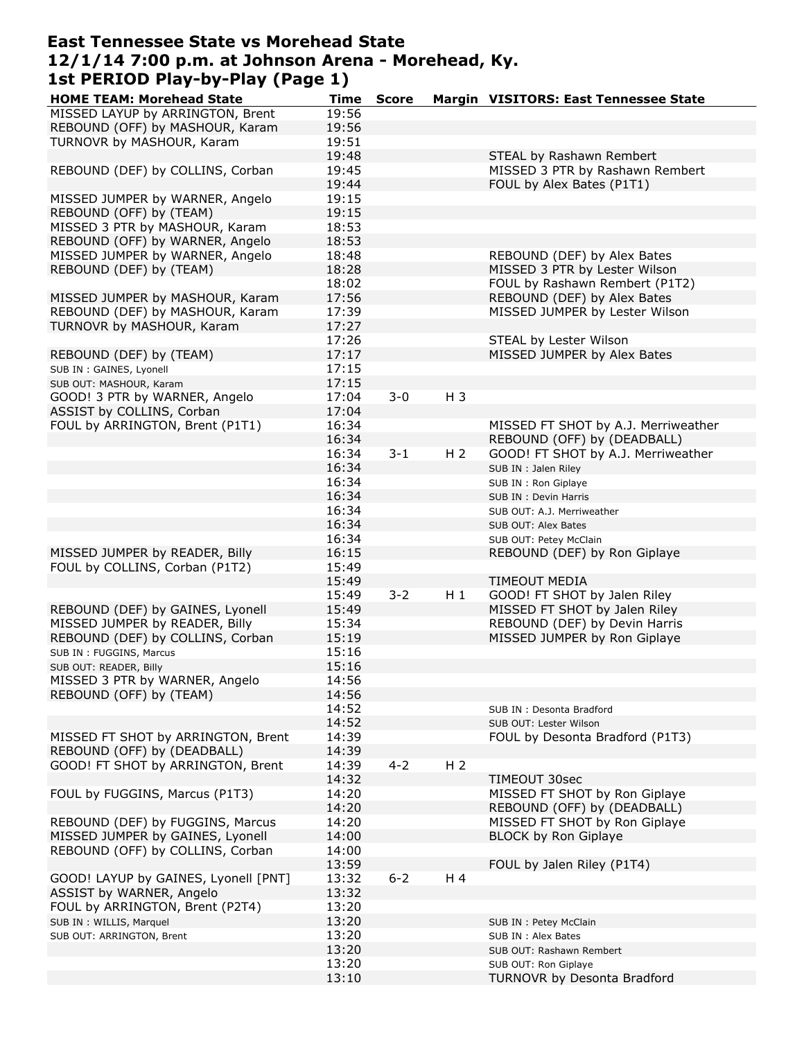# **East Tennessee State vs Morehead State 12/1/14 7:00 p.m. at Johnson Arena - Morehead, Ky. 1st PERIOD Play-by-Play (Page 1)**

| <b>HOME TEAM: Morehead State</b>                    | <b>Time</b> | <b>Score</b> |                | Margin VISITORS: East Tennessee State |
|-----------------------------------------------------|-------------|--------------|----------------|---------------------------------------|
| MISSED LAYUP by ARRINGTON, Brent                    | 19:56       |              |                |                                       |
| REBOUND (OFF) by MASHOUR, Karam                     | 19:56       |              |                |                                       |
| TURNOVR by MASHOUR, Karam                           | 19:51       |              |                |                                       |
|                                                     | 19:48       |              |                | STEAL by Rashawn Rembert              |
| REBOUND (DEF) by COLLINS, Corban                    | 19:45       |              |                | MISSED 3 PTR by Rashawn Rembert       |
|                                                     | 19:44       |              |                | FOUL by Alex Bates (P1T1)             |
| MISSED JUMPER by WARNER, Angelo                     | 19:15       |              |                |                                       |
| REBOUND (OFF) by (TEAM)                             | 19:15       |              |                |                                       |
| MISSED 3 PTR by MASHOUR, Karam                      | 18:53       |              |                |                                       |
| REBOUND (OFF) by WARNER, Angelo                     | 18:53       |              |                |                                       |
| MISSED JUMPER by WARNER, Angelo                     | 18:48       |              |                | REBOUND (DEF) by Alex Bates           |
| REBOUND (DEF) by (TEAM)                             | 18:28       |              |                | MISSED 3 PTR by Lester Wilson         |
|                                                     | 18:02       |              |                | FOUL by Rashawn Rembert (P1T2)        |
| MISSED JUMPER by MASHOUR, Karam                     | 17:56       |              |                | REBOUND (DEF) by Alex Bates           |
| REBOUND (DEF) by MASHOUR, Karam                     | 17:39       |              |                | MISSED JUMPER by Lester Wilson        |
| TURNOVR by MASHOUR, Karam                           | 17:27       |              |                |                                       |
|                                                     | 17:26       |              |                | STEAL by Lester Wilson                |
| REBOUND (DEF) by (TEAM)                             | 17:17       |              |                | MISSED JUMPER by Alex Bates           |
|                                                     | 17:15       |              |                |                                       |
| SUB IN : GAINES, Lyonell<br>SUB OUT: MASHOUR, Karam | 17:15       |              |                |                                       |
|                                                     |             | $3 - 0$      | $H_3$          |                                       |
| GOOD! 3 PTR by WARNER, Angelo                       | 17:04       |              |                |                                       |
| ASSIST by COLLINS, Corban                           | 17:04       |              |                |                                       |
| FOUL by ARRINGTON, Brent (P1T1)                     | 16:34       |              |                | MISSED FT SHOT by A.J. Merriweather   |
|                                                     | 16:34       |              |                | REBOUND (OFF) by (DEADBALL)           |
|                                                     | 16:34       | $3 - 1$      | H <sub>2</sub> | GOOD! FT SHOT by A.J. Merriweather    |
|                                                     | 16:34       |              |                | SUB IN : Jalen Riley                  |
|                                                     | 16:34       |              |                | SUB IN : Ron Giplaye                  |
|                                                     | 16:34       |              |                | SUB IN : Devin Harris                 |
|                                                     | 16:34       |              |                | SUB OUT: A.J. Merriweather            |
|                                                     | 16:34       |              |                | SUB OUT: Alex Bates                   |
|                                                     | 16:34       |              |                | SUB OUT: Petey McClain                |
| MISSED JUMPER by READER, Billy                      | 16:15       |              |                | REBOUND (DEF) by Ron Giplaye          |
| FOUL by COLLINS, Corban (P1T2)                      | 15:49       |              |                |                                       |
|                                                     | 15:49       |              |                | <b>TIMEOUT MEDIA</b>                  |
|                                                     | 15:49       | $3 - 2$      | $H_1$          | GOOD! FT SHOT by Jalen Riley          |
| REBOUND (DEF) by GAINES, Lyonell                    | 15:49       |              |                | MISSED FT SHOT by Jalen Riley         |
| MISSED JUMPER by READER, Billy                      | 15:34       |              |                | REBOUND (DEF) by Devin Harris         |
| REBOUND (DEF) by COLLINS, Corban                    | 15:19       |              |                | MISSED JUMPER by Ron Giplaye          |
| SUB IN : FUGGINS, Marcus                            | 15:16       |              |                |                                       |
| SUB OUT: READER, Billy                              | 15:16       |              |                |                                       |
| MISSED 3 PTR by WARNER, Angelo                      | 14:56       |              |                |                                       |
| REBOUND (OFF) by (TEAM)                             | 14:56       |              |                |                                       |
|                                                     | 14:52       |              |                | SUB IN: Desonta Bradford              |
|                                                     | 14:52       |              |                | SUB OUT: Lester Wilson                |
| MISSED FT SHOT by ARRINGTON, Brent                  | 14:39       |              |                | FOUL by Desonta Bradford (P1T3)       |
| REBOUND (OFF) by (DEADBALL)                         | 14:39       |              |                |                                       |
| GOOD! FT SHOT by ARRINGTON, Brent                   | 14:39       | $4 - 2$      | H <sub>2</sub> |                                       |
|                                                     | 14:32       |              |                | TIMEOUT 30sec                         |
| FOUL by FUGGINS, Marcus (P1T3)                      | 14:20       |              |                | MISSED FT SHOT by Ron Giplaye         |
|                                                     | 14:20       |              |                | REBOUND (OFF) by (DEADBALL)           |
| REBOUND (DEF) by FUGGINS, Marcus                    | 14:20       |              |                | MISSED FT SHOT by Ron Giplaye         |
| MISSED JUMPER by GAINES, Lyonell                    | 14:00       |              |                | <b>BLOCK by Ron Giplaye</b>           |
| REBOUND (OFF) by COLLINS, Corban                    | 14:00       |              |                |                                       |
|                                                     | 13:59       |              |                | FOUL by Jalen Riley (P1T4)            |
| GOOD! LAYUP by GAINES, Lyonell [PNT]                | 13:32       | $6 - 2$      | H 4            |                                       |
| ASSIST by WARNER, Angelo                            | 13:32       |              |                |                                       |
| FOUL by ARRINGTON, Brent (P2T4)                     | 13:20       |              |                |                                       |
| SUB IN : WILLIS, Marquel                            | 13:20       |              |                | SUB IN : Petey McClain                |
| SUB OUT: ARRINGTON, Brent                           | 13:20       |              |                | SUB IN : Alex Bates                   |
|                                                     | 13:20       |              |                | SUB OUT: Rashawn Rembert              |
|                                                     | 13:20       |              |                | SUB OUT: Ron Giplaye                  |
|                                                     | 13:10       |              |                | TURNOVR by Desonta Bradford           |
|                                                     |             |              |                |                                       |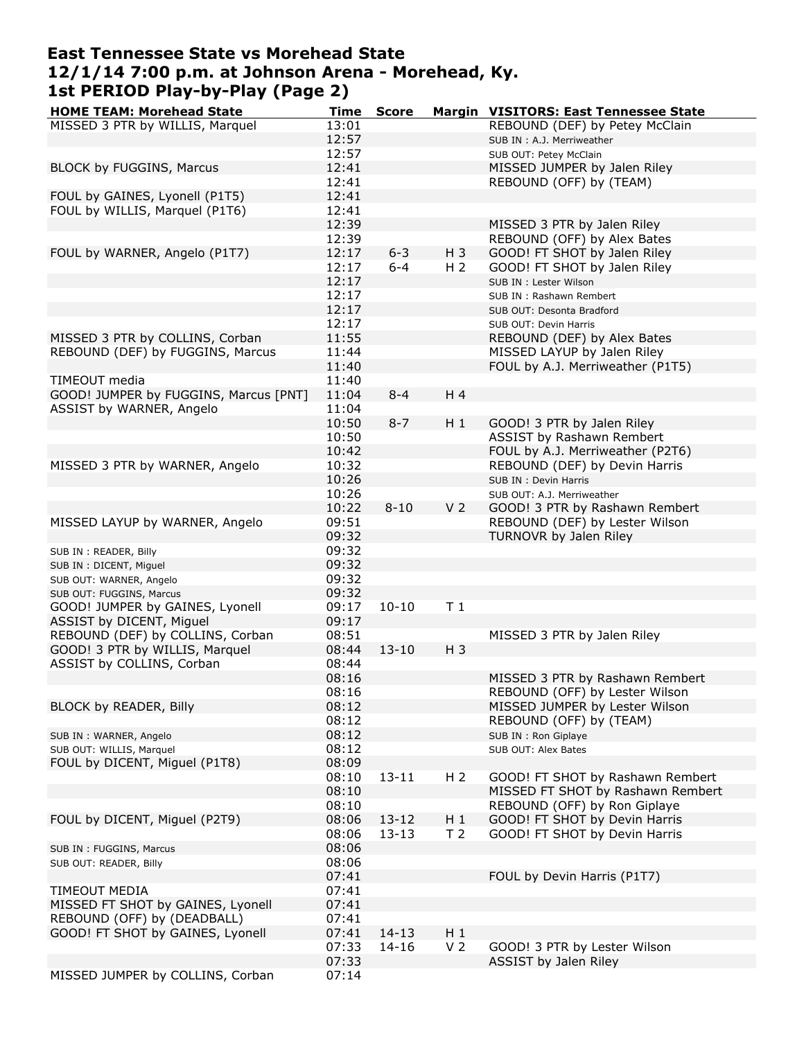#### **East Tennessee State vs Morehead State 12/1/14 7:00 p.m. at Johnson Arena - Morehead, Ky. 1st PERIOD Play-by-Play (Page 2)**

| <b>HOME TEAM: Morehead State</b>      | Time  | <b>Score</b> |                | Margin VISITORS: East Tennessee State |
|---------------------------------------|-------|--------------|----------------|---------------------------------------|
| MISSED 3 PTR by WILLIS, Marquel       | 13:01 |              |                | REBOUND (DEF) by Petey McClain        |
|                                       | 12:57 |              |                | SUB IN : A.J. Merriweather            |
|                                       | 12:57 |              |                | SUB OUT: Petey McClain                |
| BLOCK by FUGGINS, Marcus              | 12:41 |              |                | MISSED JUMPER by Jalen Riley          |
|                                       | 12:41 |              |                | REBOUND (OFF) by (TEAM)               |
|                                       |       |              |                |                                       |
| FOUL by GAINES, Lyonell (P1T5)        | 12:41 |              |                |                                       |
| FOUL by WILLIS, Marquel (P1T6)        | 12:41 |              |                |                                       |
|                                       | 12:39 |              |                | MISSED 3 PTR by Jalen Riley           |
|                                       | 12:39 |              |                | REBOUND (OFF) by Alex Bates           |
| FOUL by WARNER, Angelo (P1T7)         | 12:17 | $6 - 3$      | $H_3$          | GOOD! FT SHOT by Jalen Riley          |
|                                       | 12:17 | $6 - 4$      | H <sub>2</sub> | GOOD! FT SHOT by Jalen Riley          |
|                                       | 12:17 |              |                | SUB IN : Lester Wilson                |
|                                       | 12:17 |              |                | SUB IN: Rashawn Rembert               |
|                                       | 12:17 |              |                | SUB OUT: Desonta Bradford             |
|                                       | 12:17 |              |                | SUB OUT: Devin Harris                 |
| MISSED 3 PTR by COLLINS, Corban       | 11:55 |              |                | REBOUND (DEF) by Alex Bates           |
| REBOUND (DEF) by FUGGINS, Marcus      | 11:44 |              |                | MISSED LAYUP by Jalen Riley           |
|                                       | 11:40 |              |                | FOUL by A.J. Merriweather (P1T5)      |
| TIMEOUT media                         | 11:40 |              |                |                                       |
|                                       |       | $8 - 4$      | H 4            |                                       |
| GOOD! JUMPER by FUGGINS, Marcus [PNT] | 11:04 |              |                |                                       |
| ASSIST by WARNER, Angelo              | 11:04 |              |                |                                       |
|                                       | 10:50 | $8 - 7$      | $H_1$          | GOOD! 3 PTR by Jalen Riley            |
|                                       | 10:50 |              |                | ASSIST by Rashawn Rembert             |
|                                       | 10:42 |              |                | FOUL by A.J. Merriweather (P2T6)      |
| MISSED 3 PTR by WARNER, Angelo        | 10:32 |              |                | REBOUND (DEF) by Devin Harris         |
|                                       | 10:26 |              |                | SUB IN : Devin Harris                 |
|                                       | 10:26 |              |                | SUB OUT: A.J. Merriweather            |
|                                       | 10:22 | $8 - 10$     | V <sub>2</sub> | GOOD! 3 PTR by Rashawn Rembert        |
| MISSED LAYUP by WARNER, Angelo        | 09:51 |              |                | REBOUND (DEF) by Lester Wilson        |
|                                       | 09:32 |              |                | TURNOVR by Jalen Riley                |
|                                       | 09:32 |              |                |                                       |
| SUB IN : READER, Billy                | 09:32 |              |                |                                       |
| SUB IN : DICENT, Miguel               |       |              |                |                                       |
| SUB OUT: WARNER, Angelo               | 09:32 |              |                |                                       |
| SUB OUT: FUGGINS, Marcus              | 09:32 |              |                |                                       |
| GOOD! JUMPER by GAINES, Lyonell       | 09:17 | $10 - 10$    | T <sub>1</sub> |                                       |
| ASSIST by DICENT, Miguel              | 09:17 |              |                |                                       |
| REBOUND (DEF) by COLLINS, Corban      | 08:51 |              |                | MISSED 3 PTR by Jalen Riley           |
| GOOD! 3 PTR by WILLIS, Marquel        | 08:44 | $13 - 10$    | $H_3$          |                                       |
| ASSIST by COLLINS, Corban             | 08:44 |              |                |                                       |
|                                       | 08:16 |              |                | MISSED 3 PTR by Rashawn Rembert       |
|                                       | 08:16 |              |                | REBOUND (OFF) by Lester Wilson        |
| BLOCK by READER, Billy                | 08:12 |              |                | MISSED JUMPER by Lester Wilson        |
|                                       | 08:12 |              |                | REBOUND (OFF) by (TEAM)               |
| SUB IN: WARNER, Angelo                | 08:12 |              |                | SUB IN : Ron Giplaye                  |
| SUB OUT: WILLIS, Marquel              | 08:12 |              |                | SUB OUT: Alex Bates                   |
| FOUL by DICENT, Miguel (P1T8)         | 08:09 |              |                |                                       |
|                                       |       |              | H <sub>2</sub> |                                       |
|                                       | 08:10 | $13 - 11$    |                | GOOD! FT SHOT by Rashawn Rembert      |
|                                       | 08:10 |              |                | MISSED FT SHOT by Rashawn Rembert     |
|                                       | 08:10 |              |                | REBOUND (OFF) by Ron Giplaye          |
| FOUL by DICENT, Miguel (P2T9)         | 08:06 | $13 - 12$    | $H_1$          | GOOD! FT SHOT by Devin Harris         |
|                                       | 08:06 | $13 - 13$    | T <sub>2</sub> | GOOD! FT SHOT by Devin Harris         |
| SUB IN : FUGGINS, Marcus              | 08:06 |              |                |                                       |
| SUB OUT: READER, Billy                | 08:06 |              |                |                                       |
|                                       | 07:41 |              |                | FOUL by Devin Harris (P1T7)           |
| TIMEOUT MEDIA                         | 07:41 |              |                |                                       |
| MISSED FT SHOT by GAINES, Lyonell     | 07:41 |              |                |                                       |
| REBOUND (OFF) by (DEADBALL)           | 07:41 |              |                |                                       |
| GOOD! FT SHOT by GAINES, Lyonell      | 07:41 | $14 - 13$    | $H_1$          |                                       |
|                                       | 07:33 | $14 - 16$    | V <sub>2</sub> | GOOD! 3 PTR by Lester Wilson          |
|                                       |       |              |                |                                       |
|                                       | 07:33 |              |                | ASSIST by Jalen Riley                 |
| MISSED JUMPER by COLLINS, Corban      | 07:14 |              |                |                                       |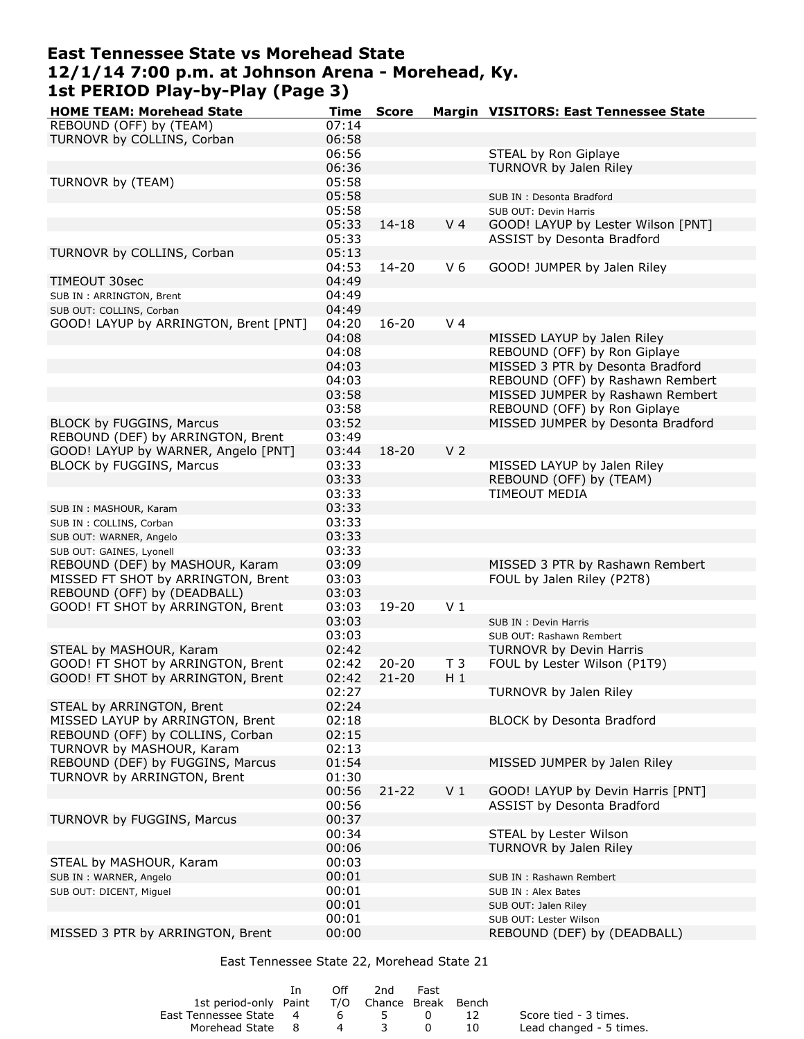# **East Tennessee State vs Morehead State 12/1/14 7:00 p.m. at Johnson Arena - Morehead, Ky. 1st PERIOD Play-by-Play (Page 3)**

| <b>HOME TEAM: Morehead State</b>      | <b>Time</b> | <b>Score</b> |                | Margin VISITORS: East Tennessee State |
|---------------------------------------|-------------|--------------|----------------|---------------------------------------|
| REBOUND (OFF) by (TEAM)               | 07:14       |              |                |                                       |
| TURNOVR by COLLINS, Corban            | 06:58       |              |                |                                       |
|                                       | 06:56       |              |                | STEAL by Ron Giplaye                  |
|                                       | 06:36       |              |                | TURNOVR by Jalen Riley                |
| TURNOVR by (TEAM)                     | 05:58       |              |                |                                       |
|                                       | 05:58       |              |                | SUB IN: Desonta Bradford              |
|                                       | 05:58       |              |                | SUB OUT: Devin Harris                 |
|                                       | 05:33       | $14 - 18$    | V <sub>4</sub> | GOOD! LAYUP by Lester Wilson [PNT]    |
|                                       | 05:33       |              |                | ASSIST by Desonta Bradford            |
| TURNOVR by COLLINS, Corban            | 05:13       |              |                |                                       |
|                                       | 04:53       | $14 - 20$    | V <sub>6</sub> | GOOD! JUMPER by Jalen Riley           |
| TIMEOUT 30sec                         | 04:49       |              |                |                                       |
| SUB IN: ARRINGTON, Brent              | 04:49       |              |                |                                       |
| SUB OUT: COLLINS, Corban              | 04:49       |              |                |                                       |
| GOOD! LAYUP by ARRINGTON, Brent [PNT] | 04:20       | $16 - 20$    | V <sub>4</sub> |                                       |
|                                       | 04:08       |              |                | MISSED LAYUP by Jalen Riley           |
|                                       | 04:08       |              |                | REBOUND (OFF) by Ron Giplaye          |
|                                       | 04:03       |              |                | MISSED 3 PTR by Desonta Bradford      |
|                                       | 04:03       |              |                | REBOUND (OFF) by Rashawn Rembert      |
|                                       | 03:58       |              |                | MISSED JUMPER by Rashawn Rembert      |
|                                       | 03:58       |              |                | REBOUND (OFF) by Ron Giplaye          |
| <b>BLOCK by FUGGINS, Marcus</b>       | 03:52       |              |                | MISSED JUMPER by Desonta Bradford     |
| REBOUND (DEF) by ARRINGTON, Brent     | 03:49       |              |                |                                       |
| GOOD! LAYUP by WARNER, Angelo [PNT]   | 03:44       | $18 - 20$    | V <sub>2</sub> |                                       |
| <b>BLOCK by FUGGINS, Marcus</b>       | 03:33       |              |                | MISSED LAYUP by Jalen Riley           |
|                                       | 03:33       |              |                | REBOUND (OFF) by (TEAM)               |
|                                       |             |              |                |                                       |
|                                       | 03:33       |              |                | <b>TIMEOUT MEDIA</b>                  |
| SUB IN: MASHOUR, Karam                | 03:33       |              |                |                                       |
| SUB IN : COLLINS, Corban              | 03:33       |              |                |                                       |
| SUB OUT: WARNER, Angelo               | 03:33       |              |                |                                       |
| SUB OUT: GAINES, Lyonell              | 03:33       |              |                |                                       |
| REBOUND (DEF) by MASHOUR, Karam       | 03:09       |              |                | MISSED 3 PTR by Rashawn Rembert       |
| MISSED FT SHOT by ARRINGTON, Brent    | 03:03       |              |                | FOUL by Jalen Riley (P2T8)            |
| REBOUND (OFF) by (DEADBALL)           | 03:03       |              |                |                                       |
| GOOD! FT SHOT by ARRINGTON, Brent     | 03:03       | 19-20        | V <sub>1</sub> |                                       |
|                                       | 03:03       |              |                | SUB IN : Devin Harris                 |
|                                       | 03:03       |              |                | SUB OUT: Rashawn Rembert              |
| STEAL by MASHOUR, Karam               | 02:42       |              |                | <b>TURNOVR by Devin Harris</b>        |
| GOOD! FT SHOT by ARRINGTON, Brent     | 02:42       | $20 - 20$    | T <sub>3</sub> | FOUL by Lester Wilson (P1T9)          |
| GOOD! FT SHOT by ARRINGTON, Brent     | 02:42       | $21 - 20$    | $H_1$          |                                       |
|                                       | 02:27       |              |                | TURNOVR by Jalen Riley                |
| STEAL by ARRINGTON, Brent             | 02:24       |              |                |                                       |
| MISSED LAYUP by ARRINGTON, Brent      | 02:18       |              |                | BLOCK by Desonta Bradford             |
| REBOUND (OFF) by COLLINS, Corban      | 02:15       |              |                |                                       |
| TURNOVR by MASHOUR, Karam             | 02:13       |              |                |                                       |
| REBOUND (DEF) by FUGGINS, Marcus      | 01:54       |              |                | MISSED JUMPER by Jalen Riley          |
| TURNOVR by ARRINGTON, Brent           | 01:30       |              |                |                                       |
|                                       | 00:56       | $21 - 22$    | V <sub>1</sub> | GOOD! LAYUP by Devin Harris [PNT]     |
|                                       | 00:56       |              |                | ASSIST by Desonta Bradford            |
| TURNOVR by FUGGINS, Marcus            | 00:37       |              |                |                                       |
|                                       | 00:34       |              |                | STEAL by Lester Wilson                |
|                                       | 00:06       |              |                | TURNOVR by Jalen Riley                |
| STEAL by MASHOUR, Karam               | 00:03       |              |                |                                       |
| SUB IN : WARNER, Angelo               | 00:01       |              |                | SUB IN: Rashawn Rembert               |
| SUB OUT: DICENT, Miguel               | 00:01       |              |                | SUB IN : Alex Bates                   |
|                                       | 00:01       |              |                | SUB OUT: Jalen Riley                  |
|                                       | 00:01       |              |                | SUB OUT: Lester Wilson                |
| MISSED 3 PTR by ARRINGTON, Brent      | 00:00       |              |                | REBOUND (DEF) by (DEADBALL)           |

East Tennessee State 22, Morehead State 21

|                                              | 1n | ∩ff | 2nd | Fast   |      |                         |
|----------------------------------------------|----|-----|-----|--------|------|-------------------------|
| 1st period-only Paint T/O Chance Break Bench |    |     |     |        |      |                         |
| East Tennessee State 4                       |    |     | 6 5 | $\Box$ | - 12 | Score tied - 3 times.   |
| Morehead State 8                             |    |     | 4 3 | - റ    | - 10 | Lead changed - 5 times. |
|                                              |    |     |     |        |      |                         |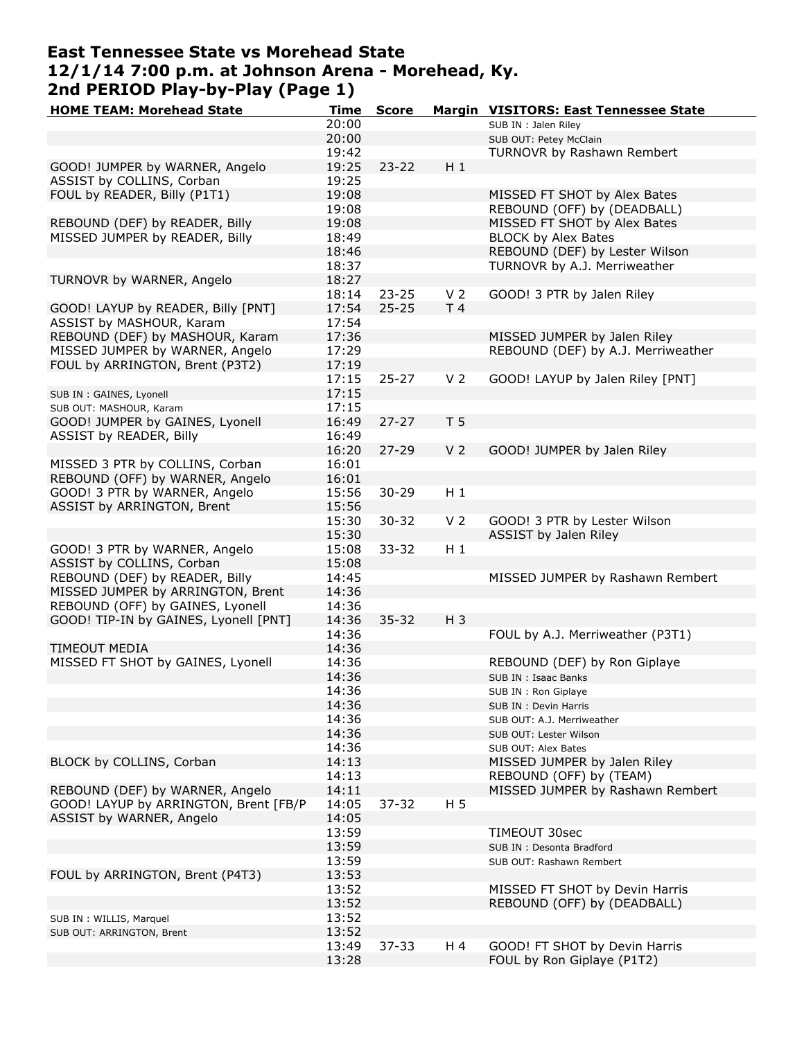# **East Tennessee State vs Morehead State 12/1/14 7:00 p.m. at Johnson Arena - Morehead, Ky. 2nd PERIOD Play-by-Play (Page 1)**

| <b>HOME TEAM: Morehead State</b>      | <b>Time</b> | <b>Score</b> |                | Margin VISITORS: East Tennessee State |
|---------------------------------------|-------------|--------------|----------------|---------------------------------------|
|                                       | 20:00       |              |                | SUB IN : Jalen Riley                  |
|                                       | 20:00       |              |                | SUB OUT: Petey McClain                |
|                                       | 19:42       |              |                | TURNOVR by Rashawn Rembert            |
| GOOD! JUMPER by WARNER, Angelo        | 19:25       | $23 - 22$    | $H_1$          |                                       |
| ASSIST by COLLINS, Corban             | 19:25       |              |                |                                       |
| FOUL by READER, Billy (P1T1)          | 19:08       |              |                | MISSED FT SHOT by Alex Bates          |
|                                       | 19:08       |              |                | REBOUND (OFF) by (DEADBALL)           |
| REBOUND (DEF) by READER, Billy        | 19:08       |              |                | MISSED FT SHOT by Alex Bates          |
| MISSED JUMPER by READER, Billy        | 18:49       |              |                | <b>BLOCK by Alex Bates</b>            |
|                                       | 18:46       |              |                |                                       |
|                                       | 18:37       |              |                | REBOUND (DEF) by Lester Wilson        |
|                                       |             |              |                | TURNOVR by A.J. Merriweather          |
| TURNOVR by WARNER, Angelo             | 18:27       |              |                |                                       |
|                                       | 18:14       | $23 - 25$    | V <sub>2</sub> | GOOD! 3 PTR by Jalen Riley            |
| GOOD! LAYUP by READER, Billy [PNT]    | 17:54       | $25 - 25$    | T <sub>4</sub> |                                       |
| ASSIST by MASHOUR, Karam              | 17:54       |              |                |                                       |
| REBOUND (DEF) by MASHOUR, Karam       | 17:36       |              |                | MISSED JUMPER by Jalen Riley          |
| MISSED JUMPER by WARNER, Angelo       | 17:29       |              |                | REBOUND (DEF) by A.J. Merriweather    |
| FOUL by ARRINGTON, Brent (P3T2)       | 17:19       |              |                |                                       |
|                                       | 17:15       | $25 - 27$    | V <sub>2</sub> | GOOD! LAYUP by Jalen Riley [PNT]      |
| SUB IN : GAINES, Lyonell              | 17:15       |              |                |                                       |
| SUB OUT: MASHOUR, Karam               | 17:15       |              |                |                                       |
| GOOD! JUMPER by GAINES, Lyonell       | 16:49       | $27 - 27$    | T <sub>5</sub> |                                       |
| ASSIST by READER, Billy               | 16:49       |              |                |                                       |
|                                       | 16:20       | $27 - 29$    | V <sub>2</sub> | GOOD! JUMPER by Jalen Riley           |
| MISSED 3 PTR by COLLINS, Corban       |             |              |                |                                       |
|                                       | 16:01       |              |                |                                       |
| REBOUND (OFF) by WARNER, Angelo       | 16:01       |              |                |                                       |
| GOOD! 3 PTR by WARNER, Angelo         | 15:56       | $30 - 29$    | H 1            |                                       |
| ASSIST by ARRINGTON, Brent            | 15:56       |              |                |                                       |
|                                       | 15:30       | $30 - 32$    | V <sub>2</sub> | GOOD! 3 PTR by Lester Wilson          |
|                                       | 15:30       |              |                | ASSIST by Jalen Riley                 |
| GOOD! 3 PTR by WARNER, Angelo         | 15:08       | $33 - 32$    | $H_1$          |                                       |
| ASSIST by COLLINS, Corban             | 15:08       |              |                |                                       |
| REBOUND (DEF) by READER, Billy        | 14:45       |              |                | MISSED JUMPER by Rashawn Rembert      |
| MISSED JUMPER by ARRINGTON, Brent     | 14:36       |              |                |                                       |
| REBOUND (OFF) by GAINES, Lyonell      | 14:36       |              |                |                                       |
| GOOD! TIP-IN by GAINES, Lyonell [PNT] | 14:36       | $35 - 32$    | $H_3$          |                                       |
|                                       | 14:36       |              |                | FOUL by A.J. Merriweather (P3T1)      |
| TIMEOUT MEDIA                         | 14:36       |              |                |                                       |
| MISSED FT SHOT by GAINES, Lyonell     | 14:36       |              |                | REBOUND (DEF) by Ron Giplaye          |
|                                       | 14:36       |              |                | SUB IN : Isaac Banks                  |
|                                       | 14:36       |              |                |                                       |
|                                       |             |              |                | SUB IN : Ron Giplaye                  |
|                                       | 14:36       |              |                | SUB IN : Devin Harris                 |
|                                       | 14:36       |              |                | SUB OUT: A.J. Merriweather            |
|                                       | 14:36       |              |                | SUB OUT: Lester Wilson                |
|                                       | 14:36       |              |                | SUB OUT: Alex Bates                   |
| BLOCK by COLLINS, Corban              | 14:13       |              |                | MISSED JUMPER by Jalen Riley          |
|                                       | 14:13       |              |                | REBOUND (OFF) by (TEAM)               |
| REBOUND (DEF) by WARNER, Angelo       | 14:11       |              |                | MISSED JUMPER by Rashawn Rembert      |
| GOOD! LAYUP by ARRINGTON, Brent [FB/P | 14:05       | $37 - 32$    | H <sub>5</sub> |                                       |
| ASSIST by WARNER, Angelo              | 14:05       |              |                |                                       |
|                                       | 13:59       |              |                | TIMEOUT 30sec                         |
|                                       | 13:59       |              |                | SUB IN: Desonta Bradford              |
|                                       | 13:59       |              |                | SUB OUT: Rashawn Rembert              |
| FOUL by ARRINGTON, Brent (P4T3)       | 13:53       |              |                |                                       |
|                                       | 13:52       |              |                |                                       |
|                                       | 13:52       |              |                | MISSED FT SHOT by Devin Harris        |
|                                       |             |              |                | REBOUND (OFF) by (DEADBALL)           |
| SUB IN : WILLIS, Marquel              | 13:52       |              |                |                                       |
| SUB OUT: ARRINGTON, Brent             | 13:52       |              |                |                                       |
|                                       | 13:49       | $37 - 33$    | H 4            | GOOD! FT SHOT by Devin Harris         |
|                                       | 13:28       |              |                | FOUL by Ron Giplaye (P1T2)            |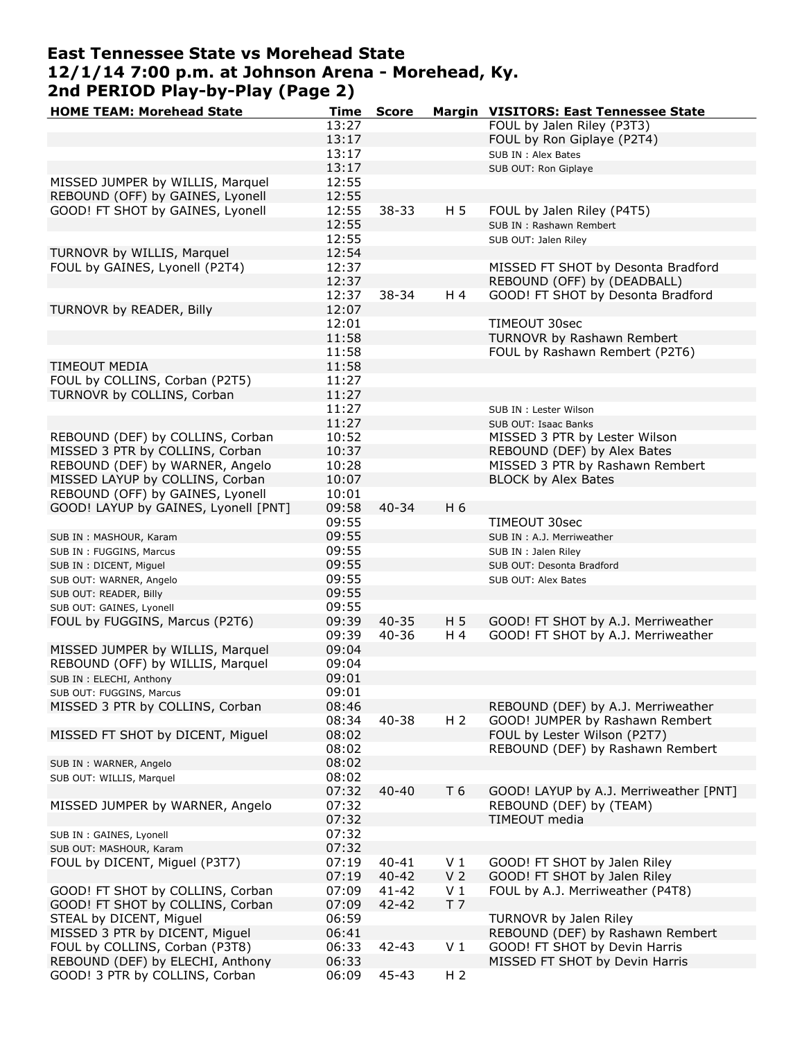# **East Tennessee State vs Morehead State 12/1/14 7:00 p.m. at Johnson Arena - Morehead, Ky. 2nd PERIOD Play-by-Play (Page 2)**

| <b>HOME TEAM: Morehead State</b>                             | Time           | <b>Score</b> |                | Margin VISITORS: East Tennessee State                             |
|--------------------------------------------------------------|----------------|--------------|----------------|-------------------------------------------------------------------|
|                                                              | 13:27          |              |                | FOUL by Jalen Riley (P3T3)                                        |
|                                                              | 13:17          |              |                | FOUL by Ron Giplaye (P2T4)                                        |
|                                                              | 13:17          |              |                | SUB IN: Alex Bates                                                |
|                                                              | 13:17          |              |                | SUB OUT: Ron Giplaye                                              |
| MISSED JUMPER by WILLIS, Marquel                             | 12:55          |              |                |                                                                   |
| REBOUND (OFF) by GAINES, Lyonell                             | 12:55          |              |                |                                                                   |
| GOOD! FT SHOT by GAINES, Lyonell                             | 12:55          | $38 - 33$    | H 5            | FOUL by Jalen Riley (P4T5)                                        |
|                                                              | 12:55          |              |                | SUB IN: Rashawn Rembert                                           |
|                                                              | 12:55          |              |                | SUB OUT: Jalen Riley                                              |
| TURNOVR by WILLIS, Marquel                                   | 12:54          |              |                |                                                                   |
| FOUL by GAINES, Lyonell (P2T4)                               | 12:37          |              |                | MISSED FT SHOT by Desonta Bradford                                |
|                                                              | 12:37          |              |                | REBOUND (OFF) by (DEADBALL)                                       |
|                                                              | 12:37          | $38 - 34$    | H 4            | GOOD! FT SHOT by Desonta Bradford                                 |
| TURNOVR by READER, Billy                                     | 12:07          |              |                |                                                                   |
|                                                              | 12:01<br>11:58 |              |                | TIMEOUT 30sec<br>TURNOVR by Rashawn Rembert                       |
|                                                              | 11:58          |              |                | FOUL by Rashawn Rembert (P2T6)                                    |
| <b>TIMEOUT MEDIA</b>                                         | 11:58          |              |                |                                                                   |
| FOUL by COLLINS, Corban (P2T5)                               | 11:27          |              |                |                                                                   |
| TURNOVR by COLLINS, Corban                                   | 11:27          |              |                |                                                                   |
|                                                              | 11:27          |              |                | SUB IN : Lester Wilson                                            |
|                                                              | 11:27          |              |                | SUB OUT: Isaac Banks                                              |
| REBOUND (DEF) by COLLINS, Corban                             | 10:52          |              |                | MISSED 3 PTR by Lester Wilson                                     |
| MISSED 3 PTR by COLLINS, Corban                              | 10:37          |              |                | REBOUND (DEF) by Alex Bates                                       |
| REBOUND (DEF) by WARNER, Angelo                              | 10:28          |              |                | MISSED 3 PTR by Rashawn Rembert                                   |
| MISSED LAYUP by COLLINS, Corban                              | 10:07          |              |                | <b>BLOCK by Alex Bates</b>                                        |
| REBOUND (OFF) by GAINES, Lyonell                             | 10:01          |              |                |                                                                   |
| GOOD! LAYUP by GAINES, Lyonell [PNT]                         | 09:58          | $40 - 34$    | H 6            |                                                                   |
|                                                              | 09:55          |              |                | TIMEOUT 30sec                                                     |
| SUB IN : MASHOUR, Karam                                      | 09:55          |              |                | SUB IN : A.J. Merriweather                                        |
| SUB IN: FUGGINS, Marcus                                      | 09:55          |              |                | SUB IN : Jalen Riley                                              |
| SUB IN : DICENT, Miguel                                      | 09:55          |              |                | SUB OUT: Desonta Bradford                                         |
| SUB OUT: WARNER, Angelo                                      | 09:55          |              |                | SUB OUT: Alex Bates                                               |
| SUB OUT: READER, Billy                                       | 09:55          |              |                |                                                                   |
| SUB OUT: GAINES, Lyonell                                     | 09:55          |              |                |                                                                   |
| FOUL by FUGGINS, Marcus (P2T6)                               | 09:39          | $40 - 35$    | H 5            | GOOD! FT SHOT by A.J. Merriweather                                |
|                                                              | 09:39          | $40 - 36$    | H 4            | GOOD! FT SHOT by A.J. Merriweather                                |
| MISSED JUMPER by WILLIS, Marquel                             | 09:04          |              |                |                                                                   |
| REBOUND (OFF) by WILLIS, Marquel<br>SUB IN : ELECHI, Anthony | 09:04<br>09:01 |              |                |                                                                   |
| SUB OUT: FUGGINS, Marcus                                     | 09:01          |              |                |                                                                   |
| MISSED 3 PTR by COLLINS, Corban                              | 08:46          |              |                | REBOUND (DEF) by A.J. Merriweather                                |
|                                                              | 08:34          | $40 - 38$    | H <sub>2</sub> | GOOD! JUMPER by Rashawn Rembert                                   |
| MISSED FT SHOT by DICENT, Miguel                             | 08:02          |              |                | FOUL by Lester Wilson (P2T7)                                      |
|                                                              | 08:02          |              |                | REBOUND (DEF) by Rashawn Rembert                                  |
| SUB IN: WARNER, Angelo                                       | 08:02          |              |                |                                                                   |
| SUB OUT: WILLIS, Marquel                                     | 08:02          |              |                |                                                                   |
|                                                              | 07:32          | $40 - 40$    | T 6            | GOOD! LAYUP by A.J. Merriweather [PNT]                            |
| MISSED JUMPER by WARNER, Angelo                              | 07:32          |              |                | REBOUND (DEF) by (TEAM)                                           |
|                                                              | 07:32          |              |                | TIMEOUT media                                                     |
| SUB IN : GAINES, Lyonell                                     | 07:32          |              |                |                                                                   |
| SUB OUT: MASHOUR, Karam                                      | 07:32          |              |                |                                                                   |
| FOUL by DICENT, Miguel (P3T7)                                | 07:19          | $40 - 41$    | V <sub>1</sub> | GOOD! FT SHOT by Jalen Riley                                      |
|                                                              | 07:19          | $40 - 42$    | V <sub>2</sub> | GOOD! FT SHOT by Jalen Riley                                      |
| GOOD! FT SHOT by COLLINS, Corban                             | 07:09          | $41 - 42$    | V <sub>1</sub> | FOUL by A.J. Merriweather (P4T8)                                  |
| GOOD! FT SHOT by COLLINS, Corban                             | 07:09          | 42-42        | T <sub>7</sub> |                                                                   |
| STEAL by DICENT, Miguel<br>MISSED 3 PTR by DICENT, Miguel    | 06:59          |              |                | TURNOVR by Jalen Riley                                            |
| FOUL by COLLINS, Corban (P3T8)                               | 06:41<br>06:33 | 42-43        | V <sub>1</sub> | REBOUND (DEF) by Rashawn Rembert<br>GOOD! FT SHOT by Devin Harris |
| REBOUND (DEF) by ELECHI, Anthony                             | 06:33          |              |                | MISSED FT SHOT by Devin Harris                                    |
| GOOD! 3 PTR by COLLINS, Corban                               | 06:09          | 45-43        | H <sub>2</sub> |                                                                   |
|                                                              |                |              |                |                                                                   |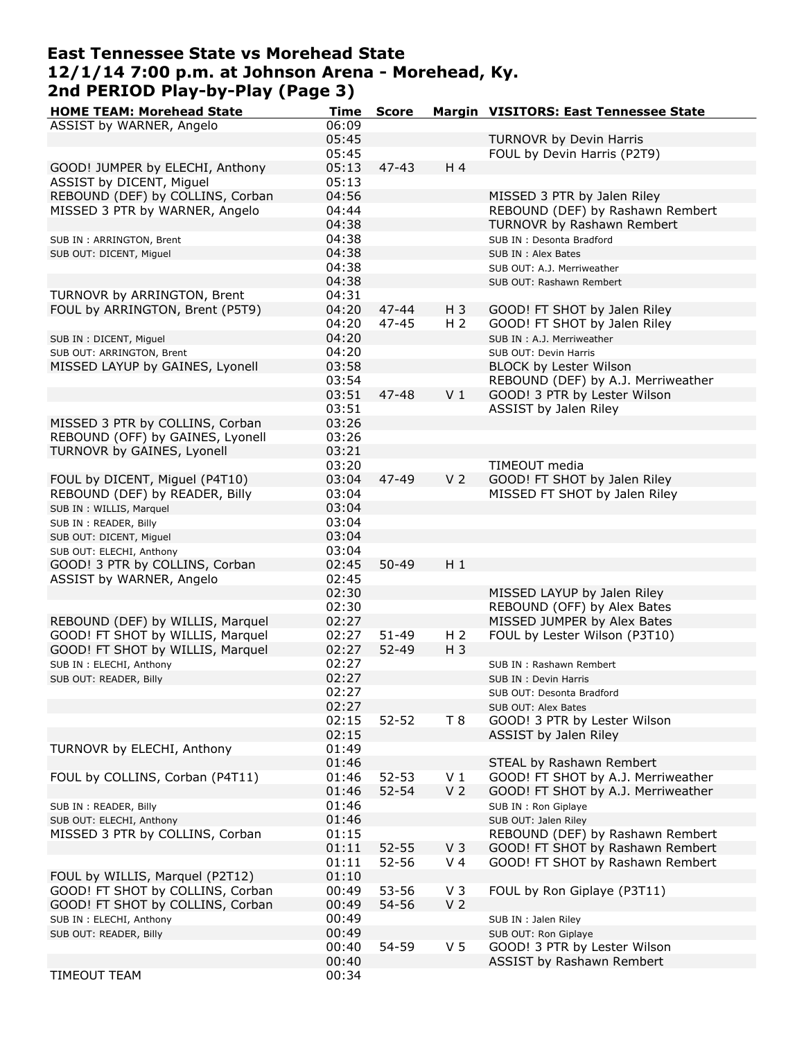# **East Tennessee State vs Morehead State 12/1/14 7:00 p.m. at Johnson Arena - Morehead, Ky. 2nd PERIOD Play-by-Play (Page 3)**

| <b>HOME TEAM: Morehead State</b> | Time  | <b>Score</b> |                | Margin VISITORS: East Tennessee State |
|----------------------------------|-------|--------------|----------------|---------------------------------------|
| ASSIST by WARNER, Angelo         | 06:09 |              |                |                                       |
|                                  | 05:45 |              |                | TURNOVR by Devin Harris               |
|                                  | 05:45 |              |                | FOUL by Devin Harris (P2T9)           |
|                                  | 05:13 | $47 - 43$    | H 4            |                                       |
| GOOD! JUMPER by ELECHI, Anthony  |       |              |                |                                       |
| ASSIST by DICENT, Miguel         | 05:13 |              |                |                                       |
| REBOUND (DEF) by COLLINS, Corban | 04:56 |              |                | MISSED 3 PTR by Jalen Riley           |
| MISSED 3 PTR by WARNER, Angelo   | 04:44 |              |                | REBOUND (DEF) by Rashawn Rembert      |
|                                  | 04:38 |              |                | TURNOVR by Rashawn Rembert            |
| SUB IN: ARRINGTON, Brent         | 04:38 |              |                | SUB IN : Desonta Bradford             |
| SUB OUT: DICENT, Miguel          | 04:38 |              |                | SUB IN : Alex Bates                   |
|                                  | 04:38 |              |                |                                       |
|                                  |       |              |                | SUB OUT: A.J. Merriweather            |
|                                  | 04:38 |              |                | SUB OUT: Rashawn Rembert              |
| TURNOVR by ARRINGTON, Brent      | 04:31 |              |                |                                       |
| FOUL by ARRINGTON, Brent (P5T9)  | 04:20 | $47 - 44$    | $H_3$          | GOOD! FT SHOT by Jalen Riley          |
|                                  | 04:20 | 47-45        | H <sub>2</sub> | GOOD! FT SHOT by Jalen Riley          |
| SUB IN : DICENT, Miguel          | 04:20 |              |                | SUB IN : A.J. Merriweather            |
| SUB OUT: ARRINGTON, Brent        | 04:20 |              |                | SUB OUT: Devin Harris                 |
| MISSED LAYUP by GAINES, Lyonell  | 03:58 |              |                | <b>BLOCK by Lester Wilson</b>         |
|                                  |       |              |                |                                       |
|                                  | 03:54 |              |                | REBOUND (DEF) by A.J. Merriweather    |
|                                  | 03:51 | $47 - 48$    | V <sub>1</sub> | GOOD! 3 PTR by Lester Wilson          |
|                                  | 03:51 |              |                | ASSIST by Jalen Riley                 |
| MISSED 3 PTR by COLLINS, Corban  | 03:26 |              |                |                                       |
| REBOUND (OFF) by GAINES, Lyonell | 03:26 |              |                |                                       |
| TURNOVR by GAINES, Lyonell       | 03:21 |              |                |                                       |
|                                  | 03:20 |              |                | <b>TIMEOUT</b> media                  |
|                                  |       |              |                |                                       |
| FOUL by DICENT, Miguel (P4T10)   | 03:04 | 47-49        | V <sub>2</sub> | GOOD! FT SHOT by Jalen Riley          |
| REBOUND (DEF) by READER, Billy   | 03:04 |              |                | MISSED FT SHOT by Jalen Riley         |
| SUB IN : WILLIS, Marquel         | 03:04 |              |                |                                       |
| SUB IN : READER, Billy           | 03:04 |              |                |                                       |
| SUB OUT: DICENT, Miguel          | 03:04 |              |                |                                       |
| SUB OUT: ELECHI, Anthony         | 03:04 |              |                |                                       |
| GOOD! 3 PTR by COLLINS, Corban   | 02:45 | $50 - 49$    | $H_1$          |                                       |
|                                  |       |              |                |                                       |
| ASSIST by WARNER, Angelo         | 02:45 |              |                |                                       |
|                                  | 02:30 |              |                | MISSED LAYUP by Jalen Riley           |
|                                  | 02:30 |              |                | REBOUND (OFF) by Alex Bates           |
| REBOUND (DEF) by WILLIS, Marquel | 02:27 |              |                | MISSED JUMPER by Alex Bates           |
| GOOD! FT SHOT by WILLIS, Marquel | 02:27 | $51 - 49$    | H <sub>2</sub> | FOUL by Lester Wilson (P3T10)         |
| GOOD! FT SHOT by WILLIS, Marquel | 02:27 | 52-49        | $H_3$          |                                       |
| SUB IN : ELECHI, Anthony         | 02:27 |              |                | SUB IN: Rashawn Rembert               |
| SUB OUT: READER, Billy           | 02:27 |              |                | SUB IN : Devin Harris                 |
|                                  |       |              |                |                                       |
|                                  | 02:27 |              |                | SUB OUT: Desonta Bradford             |
|                                  | 02:27 |              |                | SUB OUT: Alex Bates                   |
|                                  | 02:15 | $52 - 52$    | T 8            | GOOD! 3 PTR by Lester Wilson          |
|                                  | 02:15 |              |                | ASSIST by Jalen Riley                 |
| TURNOVR by ELECHI, Anthony       | 01:49 |              |                |                                       |
|                                  | 01:46 |              |                | STEAL by Rashawn Rembert              |
| FOUL by COLLINS, Corban (P4T11)  | 01:46 | $52 - 53$    | V <sub>1</sub> | GOOD! FT SHOT by A.J. Merriweather    |
|                                  | 01:46 | $52 - 54$    | V <sub>2</sub> | GOOD! FT SHOT by A.J. Merriweather    |
|                                  |       |              |                |                                       |
| SUB IN : READER, Billy           | 01:46 |              |                | SUB IN : Ron Giplaye                  |
| SUB OUT: ELECHI, Anthony         | 01:46 |              |                | SUB OUT: Jalen Riley                  |
| MISSED 3 PTR by COLLINS, Corban  | 01:15 |              |                | REBOUND (DEF) by Rashawn Rembert      |
|                                  | 01:11 | $52 - 55$    | V <sub>3</sub> | GOOD! FT SHOT by Rashawn Rembert      |
|                                  | 01:11 | 52-56        | V <sub>4</sub> | GOOD! FT SHOT by Rashawn Rembert      |
| FOUL by WILLIS, Marquel (P2T12)  | 01:10 |              |                |                                       |
| GOOD! FT SHOT by COLLINS, Corban | 00:49 | 53-56        | $V_3$          | FOUL by Ron Giplaye (P3T11)           |
|                                  |       |              |                |                                       |
| GOOD! FT SHOT by COLLINS, Corban | 00:49 | 54-56        | V <sub>2</sub> |                                       |
| SUB IN : ELECHI, Anthony         | 00:49 |              |                | SUB IN : Jalen Riley                  |
| SUB OUT: READER, Billy           | 00:49 |              |                | SUB OUT: Ron Giplaye                  |
|                                  | 00:40 | 54-59        | V <sub>5</sub> | GOOD! 3 PTR by Lester Wilson          |
|                                  | 00:40 |              |                | ASSIST by Rashawn Rembert             |
| TIMEOUT TEAM                     | 00:34 |              |                |                                       |
|                                  |       |              |                |                                       |